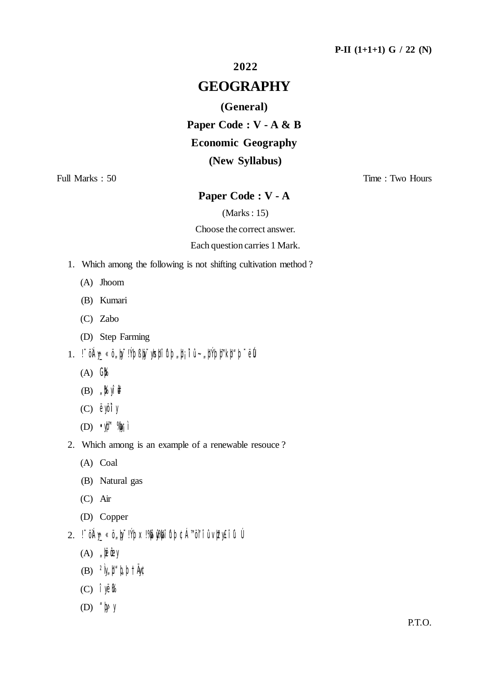#### 2022

# **GEOGRAPHY**

#### (General)

Paper Code : V - A & B

## **Economic Geography**

(New Syllabus)

Full Marks: 50

Time: Two Hours

## Paper Code: V - A

 $(Marks: 15)$ 

Choose the correct answer.

Each question carries 1 Mark.

- 1. Which among the following is not shifting cultivation method?
	- $(A)$  Jhoom
	- (B) Kumari
	- $(C)$  Zabo
	- (D) Step Farming
- 1. !~öA\\_« ö"\\~!Y`b B\j\~\\rs|tîth "||iîû~"|!Y`b |J\\k||!"|b ~ëW
	- $(A)$   $G\$
	- $(B)$   $\mathcal{H}$  with
	- $(C)$  ëyölî y
	- $(D) \cdot \Psi^M \mathcal{W}$ i
- 2. Which among is an example of a renewable resouce?
	- $(A)$  Coal
	- (B) Natural gas
	- $(C)$  Air
	- (D) Copper
- 2. !~ölÁy « ö "hy~!Ýb x!?hi ü?khî ử b ¢Á™ö"î û v|t'y£î ů Ú
	- $(A)$  " $\mathbb{R}$ **ûey**
	- (B)  $2\dot{\phi}$   $\frac{1}{2}\dot{\phi}$   $\frac{1}{2}\dot{\phi}$   $\frac{1}{2}\dot{\phi}$
	- $(C)$   $\hat{\mathsf{I}}\n$  yë $\hat{\mathsf{W}}$
	- (D) " $\psi$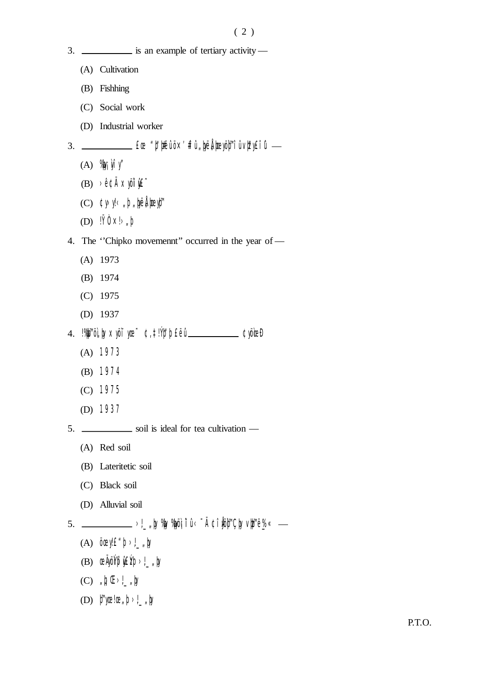- 3.  $\frac{1}{2}$  is an example of tertiary activity
	- (A) Cultivation
	- (B) Fishhing
	- (C) Social work
	- (D) Industrial worker
- - $(A)$   $\psi$   $\psi$ <sup> $\gamma$ </sup>
	- $(B)$  >  $\hat{e}$   $\oint$   $\hat{A}$   $X$  $\hat{y}$  $\hat{u}$  $\hat{f}$  $\hat{f}$  $\hat{f}$
	- $(C)$   $\psi > y! < 0$ ,  $\psi \in \Lambda$   $\mathbb{R}$   $\mathbb{R}$
	- (D)  $\|\hat{Y} \hat{O} \times I_{\gamma} \|$
- 4. The "Chipko movemennt" occurred in the year of
	- $(A)$  1973
	- $(B)$  1974
	- $(C)$  1975
	- (D)  $1937$
- 4. !?\\\on, \p xyo`i ye ~ ¢, #!Y`p' b £ë û\_\_\_\_\_\_\_\_\_\_\_\_\_\_ ¢yo`ce {b
	- $(A)$  1973
	- $(B)$  1974
	- $(C)$  1975
	- (D)  $1937$
- 5. \_\_\_\_\_\_\_\_\_\_\_\_ soil is ideal for tea cultivation
	- (A) Red soil
	- (B) Lateritetic soil
	- (C) Black soil
	- (D) Alluvial soil

# 5. \_\_\_\_\_\_\_\_\_\_\_\_\_ >!\_\_,p %p %pöì; iî û < ~Ä ¢î jõp™Ç|p v|p™ë<u>%</u>« \_\_

- (A)  $\ddot{o}$  cey! $f'$   $\phi$   $> 1$ ,  $\phi$
- (B) ce  $\psi$  of  $\psi$  of  $\psi$   $\psi$   $\psi$   $\psi$
- (C)  $\sqrt[n]{\mathfrak{h}}$   $\mathfrak{C}$  >  $\mathfrak{L}$   $\mathfrak{h}$
- (D)  $\mathfrak{h}^{\mathsf{M}}$ yœ!œ " $\mathfrak{h}$  >!\_ " $\mathfrak{h}$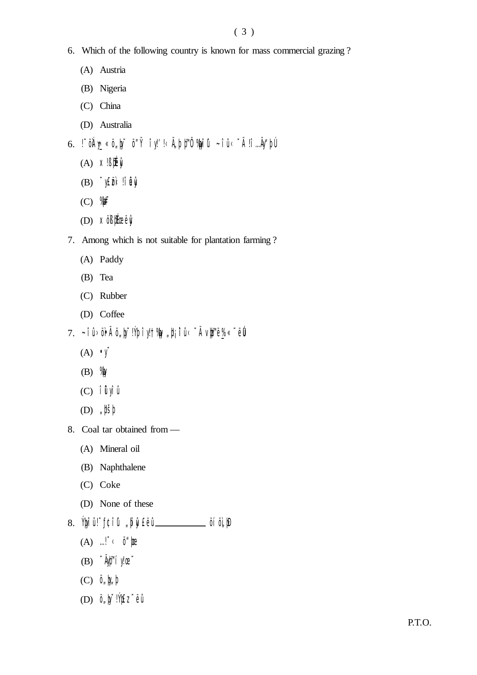- 6. Which of the following country is known for mass commercial grazing?
	- (A) Austria
	- (B) Nigeria
	- (C) China
	- (D) Australia
- 6. !~ $\ddot{\theta}$  $\ddot{\theta}$  $\ddot{\theta}$  =  $\ddot{\theta}$   $\ddot{\theta}$  =  $\ddot{\theta}$   $\dddot{\theta}$  =  $\ddot{\theta}$   $\dddot{\theta}$  =  $\ddot{\theta}$   $\ddot{\theta}$  =  $\ddot{\theta}$   $\ddot{\theta}$  =  $\ddot{\theta}$   $\ddot{\theta}$  =  $\ddot{\theta}$   $\ddot{\theta}$  =  $\ddot{\theta}$  =  $\ddot{\theta}$  =  $\ddot{\theta}$  =  $\ddot{\theta}$  =  $\ddot{\$ 
	- $(A) \times \frac{1}{B}$
	- $(B)$   $\tilde{y}$   $\tilde{f}$   $\tilde{f}$   $\tilde{f}$   $\tilde{f}$   $\tilde{f}$   $\tilde{f}$   $\tilde{f}$   $\tilde{f}$   $\tilde{f}$   $\tilde{f}$
	- $(C)$   $\frac{1}{4}$
	- (D) XÖBL@ëy
- 7. Among which is not suitable for plantation farming?
	- (A) Paddy
	- $(B)$  Tea
	- (C) Rubber
	- (D) Coffee
- 7. ~Îû>ö•Ä ö"þ̃!Ýþ îy!†‰ "þ¦iîû<̃Ä vþ��뉫 ~ëŴ
	- $(A) \bullet \check{V}$
	- $(B)$   $\%$
	- $(C)$   $\hat{\mathbf{I}}\hat{\mathbf{I}}\hat{\mathbf{V}}\hat{\mathbf{I}}\hat{\mathbf{I}}$
	- $(D)$   $\| \mathbf{\check{S}} \|$
- 8. Coal tar obtained from -
	- (A) Mineral oil
	- (B) Naphthalene
	- (C) Coke
	- (D) None of these
- 8. Ýþrî û!~f¢îŭ "þî ŷ £ëû\_\_\_\_\_\_\_\_\_\_\_\_ ö í öì"þ
	- (A)  $\mathbb{R}^7 < 0^u$  pe
	- $(B)$   $\tilde{h}$   $\tilde{h}$   $\tilde{h}$   $\tilde{h}$   $\tilde{h}$   $\tilde{h}$   $\tilde{g}$   $\tilde{g}$   $\tilde{g}$   $\tilde{g}$
	- $(C)$   $\ddot{\theta}$   $\phi$   $\phi$
	- (D)  $\ddot{\theta}$   $\dot{\theta}$   $\ddot{\theta}$   $\ddot{\theta}$   $\ddot{\theta}$   $\ddot{\theta}$   $\ddot{\theta}$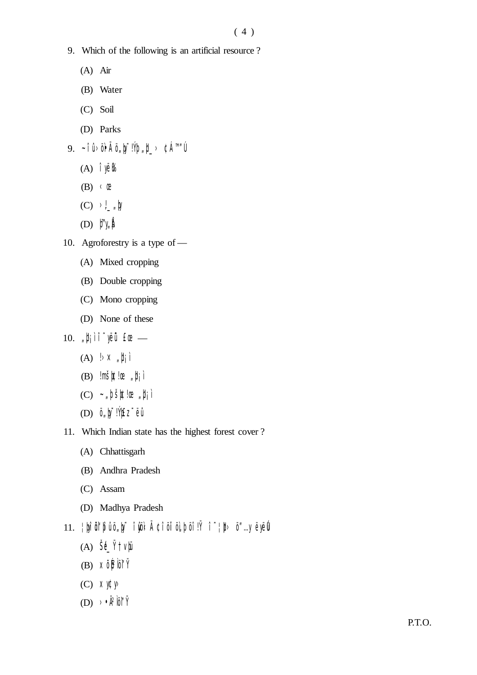- 9. Which of the following is an artificial resource?
	- $(A)$  Air
	- (B) Water
	- $(C)$  Soil
	- (D) Parks
- 9.  $\sim$ îû>örÄ ö"þ̃!Ýþ "þ\_> ¢Á™"Ú
	- $(A)$   $\hat{\mathsf{I}}$  yë $\mathsf{M}$
	- $(B) < \mathfrak{C}$
	- $(C) > l_{\mathsf{m}} \mathfrak{y}$
	- (D)  $\mathbf{J}^{\mathbf{w}}$
- 10. Agroforestry is a type of -
	- (A) Mixed cropping
	- (B) Double cropping
	- (C) Mono cropping
	- (D) None of these
- 10. " $\sharp$ jì î ~yëũ £œ
	- (A)  $\downarrow \times$   $\| \cdot \|$
	- $(B)$   $\text{Im}\sinh(\theta, \theta)$
	- $(C)$  ~  $n \not\in \mathbb{R}$  =  $\mathbb{R}$  =  $\mathbb{R}$  =  $\mathbb{R}$  |  $\mathbb{R}$  |  $\mathbb{R}$  |  $\mathbb{R}$  |  $\mathbb{R}$  |  $\mathbb{R}$  |  $\mathbb{R}$  |  $\mathbb{R}$  |  $\mathbb{R}$  |  $\mathbb{R}$  |  $\mathbb{R}$  |  $\mathbb{R}$  |  $\mathbb{R}$  |  $\mathbb{R}$  |  $\mathbb{R}$  |  $\mathbb{R}$  |
	- (D)  $\ddot{\theta}$   $\dot{\theta}$   $\ddot{\theta}$   $\ddot{\theta}$   $\ddot{\theta}$   $\ddot{\theta}$
- 11. Which Indian state has the highest forest cover?
	- (A) Chhattisgarh
	- (B) Andhra Pradesh
	- (C) Assam
	- (D) Madhya Pradesh
- 11. ||yî ör 'fî û ö "|y~ î jök Å ¢î ölí öl"þ öî!Ÿ î~||l> ö"...y ëyëlĺ
	- $(A)$   $\check{S}$ <sup> $\check{C}$ </sup> $\check{C}$  $\check{C}$  $\check{C}$  $\check{C}$
	- $(B)$   $X$ Õ $\widehat{P}$ lõi" $\widehat{Y}$
	- $(C)$   $X \n\Psi$
	- $(D)$  >  $\bullet \mathring{R}^2$  or  $\mathring{Y}$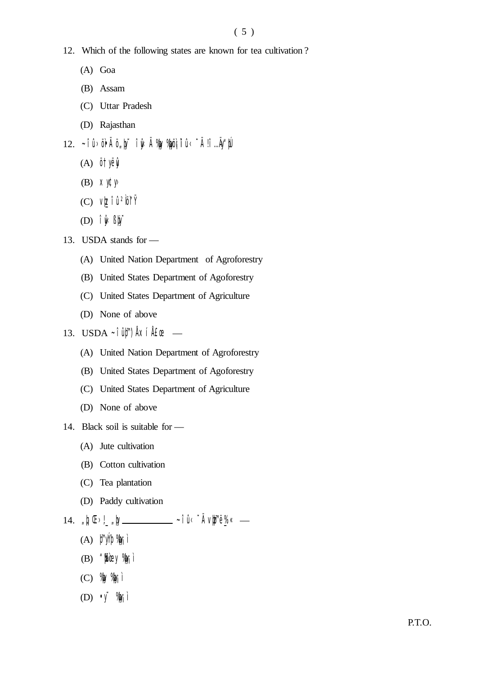- 12. Which of the following states are known for tea cultivation?
	- $(A)$  Goa
	- (B) Assam
	- (C) Uttar Pradesh
	- (D) Rajasthan
- 12. ~ $\hat{I} \hat{u} > \hat{0}$ e Å ö" $y \tilde{ }$  î $\hat{y} < \tilde{A}$  ‰ ‰öl; îî û < ~ $\tilde{A}$  !î…Äy" $\hat{H}$ 
	- $(A)$   $\ddot{o}$   $\ddot{\uparrow}$   $\ddot{\uparrow}$
	- $(B)$   $X \nsubseteq Y$
	- $(C)$   $VL$   $\hat{L}$   $\hat{U}$   $\hat{V}$   $\hat{V}$
	- (D)  $\hat{\mathbf{l}}$   $\hat{\mathbf{l}}$   $\hat{\mathbf{s}}$   $\hat{\mathbf{s}}$   $\hat{\mathbf{s}}$
- 13. USDA stands for -
	- (A) United Nation Department of Agroforestry
	- (B) United States Department of Agoforestry
	- (C) United States Department of Agriculture
	- (D) None of above
- 13. USDA ~ $\hat{I}$  $\hat{U}$  $\hat{I}$  $\hat{V}$  $\hat{A}$  $X$  $\hat{I}$  $\hat{A}$  $E$  $\hat{\alpha}$   $\cdots$ 
	- (A) United Nation Department of Agroforestry
	- (B) United States Department of Agoforestry
	- (C) United States Department of Agriculture
	- (D) None of above
- 14. Black soil is suitable for -
	- (A) Jute cultivation
	- (B) Cotton cultivation
	- (C) Tea plantation
	- (D) Paddy cultivation
- - $(A)$   $\sharp$ <sup>m</sup>yÝ $\sharp$   $\sharp$ <sub>p</sub><sub>i</sub> i
	- $(B)$  "**B**obey  $\%$ i
	- $(C)$   $\mathcal{W}$   $\mathcal{W}$ i
	- (D)  $\mathbf{v}^{\prime}$   $\mathbf{w}$ i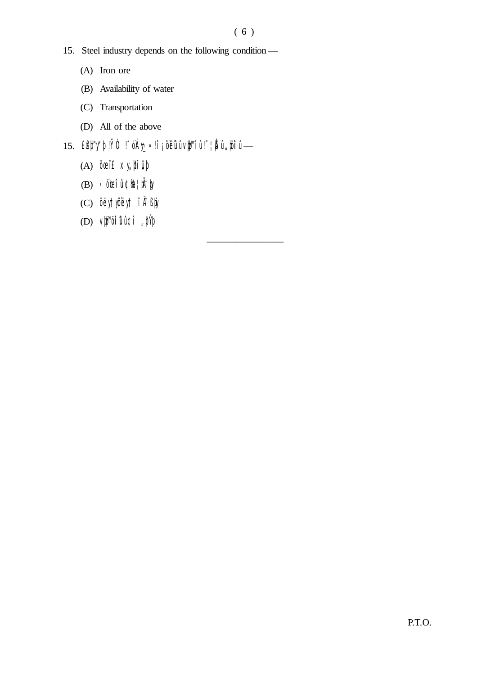- 15. Steel industry depends on the following condition
	- $(A)$  Iron ore
	- (B) Availability of water
	- (C) Transportation
	- (D) All of the above
- 15. £Bþʰy"þ!ŸÒ !~öÁ<u>y~</u>« !î ¡öëûûvþʰ^îû!~¦þîû "þöîû—
	- $(A)$  öœï£  $xy_n$ µî û $\phi$
	- $(B)$  <  $\ddot{\text{o}}$  control  $\mathbb{C}$  to  $\ddot{\text{c}}$  to  $\ddot{\text{c}}$  the  $\ddot{\text{c}}$
	- (C) öëytyöëyt îÄî Bby
	- (D)  $V\sharp\!\!\!\!\!\!/$  vii î û cî "pyp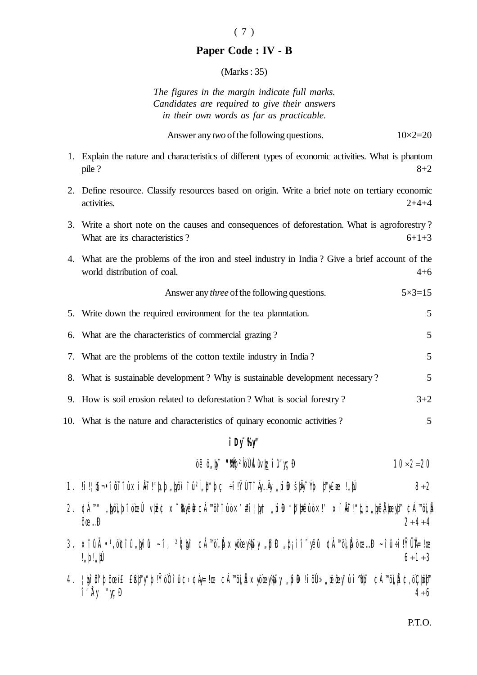### $(7)$

### Paper Code: IV - B

 $(Marks: 35)$ 

### The figures in the margin indicate full marks. Candidates are required to give their answers in their own words as far as practicable.

| Answer any <i>two</i> of the following questions. | $10\times2=20$ |
|---------------------------------------------------|----------------|
|---------------------------------------------------|----------------|

- 1. Explain the nature and characteristics of different types of economic activities. What is phantom pile ?  $8 + 2$
- 2. Define resource. Classify resources based on origin. Write a brief note on tertiary economic activities.  $2 + 4 + 4$
- 3. Write a short note on the causes and consequences of deforestation. What is agroforestry? What are its characteristics?  $6+1+3$
- 4. What are the problems of the iron and steel industry in India? Give a brief account of the world distribution of coal.  $4 + 6$

|  |  | Answer any <i>three</i> of the following questions. | $5 \times 3 = 15$ |
|--|--|-----------------------------------------------------|-------------------|
|--|--|-----------------------------------------------------|-------------------|

| 5. Write down the required environment for the tea planntation.               | 5 |
|-------------------------------------------------------------------------------|---|
| 6. What are the characteristics of commercial grazing?                        | 5 |
| 7. What are the problems of the cotton textile industry in India?             | 5 |
| 8. What is sustainable development? Why is sustainable development necessary? | 5 |
|                                                                               |   |

5 10. What is the nature and characteristics of quinary economic activities?

## **î** Dy~Yw"

9. How is soil erosion related to deforestation? What is social forestry?

öë ö<sub>''</sub> 
$$
\psi
$$
 79% <sup>2</sup>öllir ûvlr û û" $\psi$ 

- 1. !î!!\\$¬•îŏĭ^îûxíÅĭ!"\.b "\o`k îû?|"d"b c ÷î!YÜTîÄv…Äv "bîÐ šHv~Y\d B"\{ce !"\U  $8 + 2$
- 2. ¢Á™″"þöì"þîöæÚ vþê¢ x~‰yë# ¢Á™ö″îûö×′#î¦þ† "þîð "þ"þ#ëûö×!′ xíÅr̃!"þ.,þ "þëÅ,þæyþ™ ¢Á™öì"þ  $0$   $\mathbf{0}$   $\mathbf{0}$   $\mathbf{0}$  $2+4+4$
- 3.  $\times$ î di Å •1,ökî î û "|yî di ~î, <sup>2</sup>|¦|yî ¢Á™ö)"Å  $\times$ yöœy‰y "|yîÐ "||; ì ĩ yëu ¢Á™ö)"Å öœ…Ð ~î û ÷î!ŸÜÄ=!œ  $6 + 1 + 3$  $!,$ p!"J $\cup$
- 4. ¦þî ŏi"þ öœï£ £BB™y"þ !ŸöÒî û ¢>¢Äy=!œ ¢Á™öì"Å ×yöœy‰y "þîÐ !î öÙ» "jëûeyî û î ^Vb~ ¢Á™öì"Å ¢,öÇ|öB™ î'Ăy "yçĐ  $4 + 6$

#### P.T.O.

 $3 + 2$